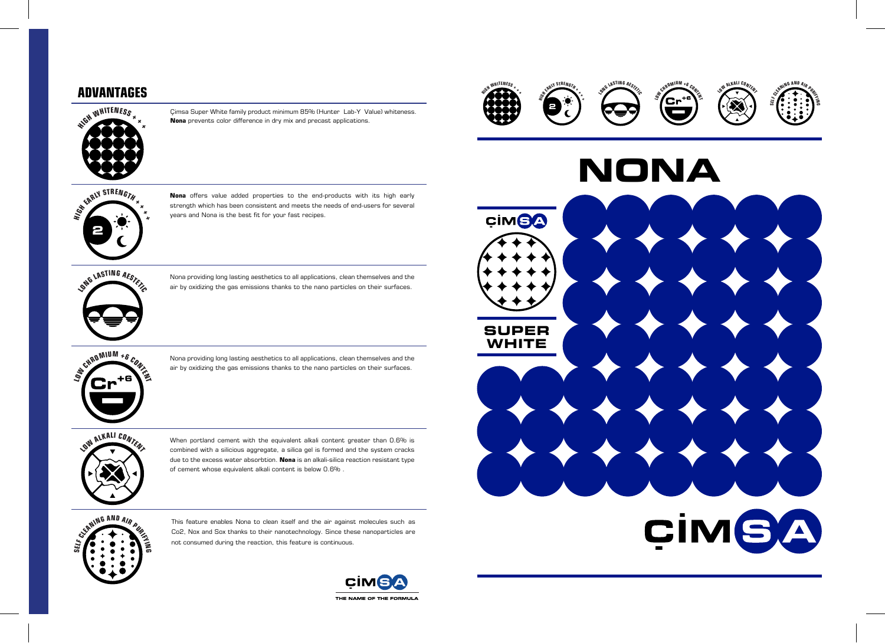## **ADVANTAGES**















 $\frac{1}{2}$  **ON**<sup>G</sup> **LASTING**  $\frac{1}{2}$ 

![](_page_0_Picture_14.jpeg)

**<sup>L</sup><sup>O</sup><sup>W</sup> <sup>C</sup>HROMIU<sup>M</sup> <sup>+</sup><sup>6</sup> <sup>C</sup>ONTEN<sup>T</sup>**

 $\frac{1}{2}$  **CONTENT** 

**SEL<sup>F</sup> <sup>C</sup>LEANIN<sup>G</sup> <sup>A</sup>N<sup>D</sup> <sup>A</sup>I<sup>R</sup> <sup>P</sup>UR<sup>I</sup>FY<sup>I</sup>N<sup>G</sup>**

**Nona** offers value added properties to the end-products with its high early strength which has been consistent and meets the needs of end-users for several years and Nona is the best fit for your fast recipes.

When portland cement with the equivalent alkali content greater than 0.6% is combined with a silicious aggregate, a silica gel is formed and the system cracks due to the excess water absorbtion. **Nona** is an alkali-silica reaction resistant type of cement whose equivalent alkali content is below 0.6% .

Nona providing long lasting aesthetics to all applications, clean themselves and the air by oxidizing the gas emissions thanks to the nano particles on their surfaces.

Nona providing long lasting aesthetics to all applications, clean themselves and the air by oxidizing the gas emissions thanks to the nano particles on their surfaces.

This feature enables Nona to clean itself and the air against molecules such as Co2, Nox and Sox thanks to their nanotechnology. Since these nanoparticles are not consumed during the reaction, this feature is continuous.

![](_page_0_Picture_13.jpeg)

Çimsa Super White family product minimum 85% (Hunter Lab-Y Value) whiteness. **Nona** prevents color difference in dry mix and precast applications.